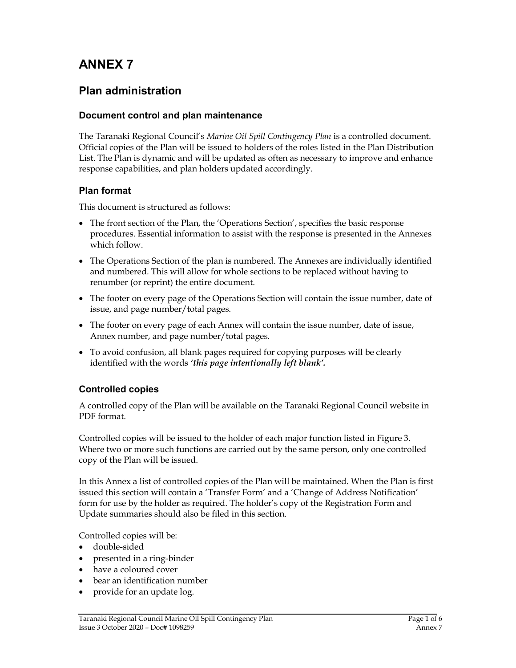# ANNEX 7

## Plan administration

#### Document control and plan maintenance

The Taranaki Regional Council's Marine Oil Spill Contingency Plan is a controlled document. Official copies of the Plan will be issued to holders of the roles listed in the Plan Distribution List. The Plan is dynamic and will be updated as often as necessary to improve and enhance response capabilities, and plan holders updated accordingly.

#### Plan format

This document is structured as follows:

- The front section of the Plan, the 'Operations Section', specifies the basic response procedures. Essential information to assist with the response is presented in the Annexes which follow.
- The Operations Section of the plan is numbered. The Annexes are individually identified and numbered. This will allow for whole sections to be replaced without having to renumber (or reprint) the entire document.
- The footer on every page of the Operations Section will contain the issue number, date of issue, and page number/total pages.
- The footer on every page of each Annex will contain the issue number, date of issue, Annex number, and page number/total pages.
- To avoid confusion, all blank pages required for copying purposes will be clearly identified with the words 'this page intentionally left blank'.

#### Controlled copies

A controlled copy of the Plan will be available on the Taranaki Regional Council website in PDF format.

Controlled copies will be issued to the holder of each major function listed in Figure 3. Where two or more such functions are carried out by the same person, only one controlled copy of the Plan will be issued.

In this Annex a list of controlled copies of the Plan will be maintained. When the Plan is first issued this section will contain a 'Transfer Form' and a 'Change of Address Notification' form for use by the holder as required. The holder's copy of the Registration Form and Update summaries should also be filed in this section.

Controlled copies will be:

- double-sided
- presented in a ring-binder
- have a coloured cover
- bear an identification number
- provide for an update log.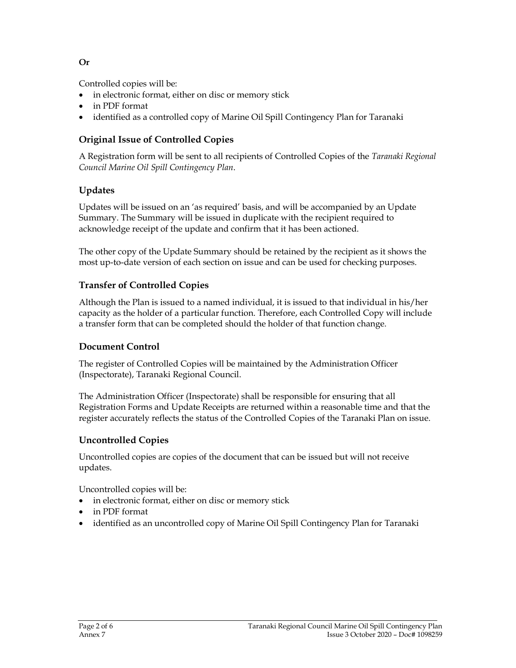Or

Controlled copies will be:

- in electronic format, either on disc or memory stick
- in PDF format
- identified as a controlled copy of Marine Oil Spill Contingency Plan for Taranaki

## Original Issue of Controlled Copies

A Registration form will be sent to all recipients of Controlled Copies of the Taranaki Regional Council Marine Oil Spill Contingency Plan.

### Updates

Updates will be issued on an 'as required' basis, and will be accompanied by an Update Summary. The Summary will be issued in duplicate with the recipient required to acknowledge receipt of the update and confirm that it has been actioned.

The other copy of the Update Summary should be retained by the recipient as it shows the most up-to-date version of each section on issue and can be used for checking purposes.

### Transfer of Controlled Copies

Although the Plan is issued to a named individual, it is issued to that individual in his/her capacity as the holder of a particular function. Therefore, each Controlled Copy will include a transfer form that can be completed should the holder of that function change.

#### Document Control

The register of Controlled Copies will be maintained by the Administration Officer (Inspectorate), Taranaki Regional Council.

The Administration Officer (Inspectorate) shall be responsible for ensuring that all Registration Forms and Update Receipts are returned within a reasonable time and that the register accurately reflects the status of the Controlled Copies of the Taranaki Plan on issue.

#### Uncontrolled Copies

Uncontrolled copies are copies of the document that can be issued but will not receive updates.

Uncontrolled copies will be:

- in electronic format, either on disc or memory stick
- in PDF format
- identified as an uncontrolled copy of Marine Oil Spill Contingency Plan for Taranaki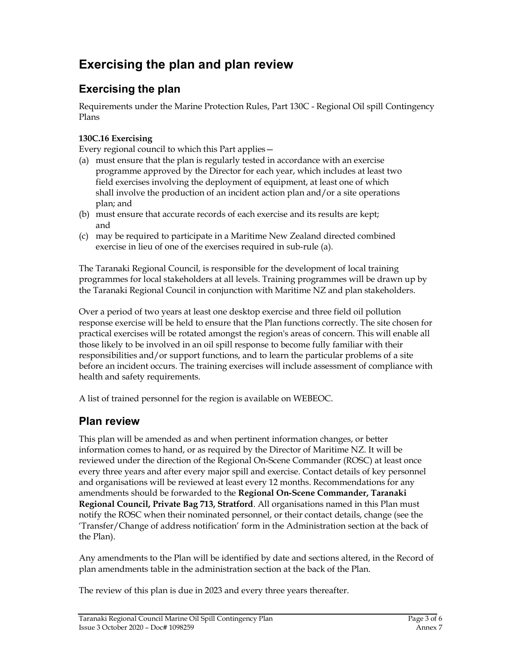# Exercising the plan and plan review

# Exercising the plan

Requirements under the Marine Protection Rules, Part 130C - Regional Oil spill Contingency Plans

#### 130C.16 Exercising

Every regional council to which this Part applies—

- (a) must ensure that the plan is regularly tested in accordance with an exercise programme approved by the Director for each year, which includes at least two field exercises involving the deployment of equipment, at least one of which shall involve the production of an incident action plan and/or a site operations plan; and
- (b) must ensure that accurate records of each exercise and its results are kept; and
- (c) may be required to participate in a Maritime New Zealand directed combined exercise in lieu of one of the exercises required in sub-rule (a).

The Taranaki Regional Council, is responsible for the development of local training programmes for local stakeholders at all levels. Training programmes will be drawn up by the Taranaki Regional Council in conjunction with Maritime NZ and plan stakeholders.

Over a period of two years at least one desktop exercise and three field oil pollution response exercise will be held to ensure that the Plan functions correctly. The site chosen for practical exercises will be rotated amongst the region's areas of concern. This will enable all those likely to be involved in an oil spill response to become fully familiar with their responsibilities and/or support functions, and to learn the particular problems of a site before an incident occurs. The training exercises will include assessment of compliance with health and safety requirements.

A list of trained personnel for the region is available on WEBEOC.

## Plan review

This plan will be amended as and when pertinent information changes, or better information comes to hand, or as required by the Director of Maritime NZ. It will be reviewed under the direction of the Regional On-Scene Commander (ROSC) at least once every three years and after every major spill and exercise. Contact details of key personnel and organisations will be reviewed at least every 12 months. Recommendations for any amendments should be forwarded to the Regional On-Scene Commander, Taranaki Regional Council, Private Bag 713, Stratford. All organisations named in this Plan must notify the ROSC when their nominated personnel, or their contact details, change (see the 'Transfer/Change of address notification' form in the Administration section at the back of the Plan).

Any amendments to the Plan will be identified by date and sections altered, in the Record of plan amendments table in the administration section at the back of the Plan.

The review of this plan is due in 2023 and every three years thereafter.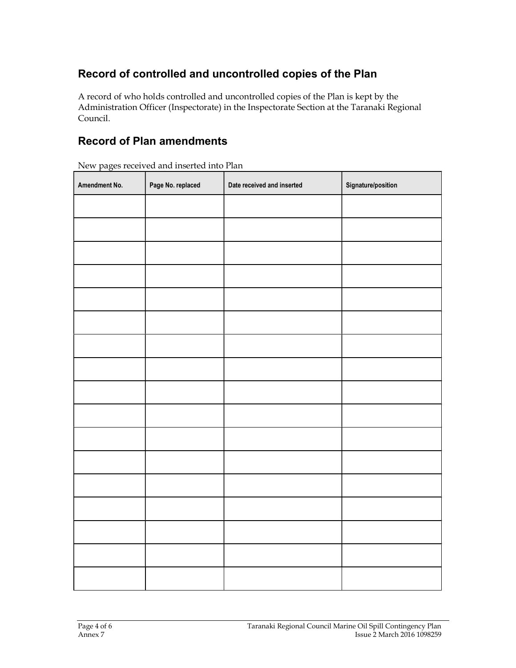# Record of controlled and uncontrolled copies of the Plan

A record of who holds controlled and uncontrolled copies of the Plan is kept by the Administration Officer (Inspectorate) in the Inspectorate Section at the Taranaki Regional Council.

## Record of Plan amendments

New pages received and inserted into Plan

| Amendment No. | Page No. replaced | Date received and inserted | Signature/position |
|---------------|-------------------|----------------------------|--------------------|
|               |                   |                            |                    |
|               |                   |                            |                    |
|               |                   |                            |                    |
|               |                   |                            |                    |
|               |                   |                            |                    |
|               |                   |                            |                    |
|               |                   |                            |                    |
|               |                   |                            |                    |
|               |                   |                            |                    |
|               |                   |                            |                    |
|               |                   |                            |                    |
|               |                   |                            |                    |
|               |                   |                            |                    |
|               |                   |                            |                    |
|               |                   |                            |                    |
|               |                   |                            |                    |
|               |                   |                            |                    |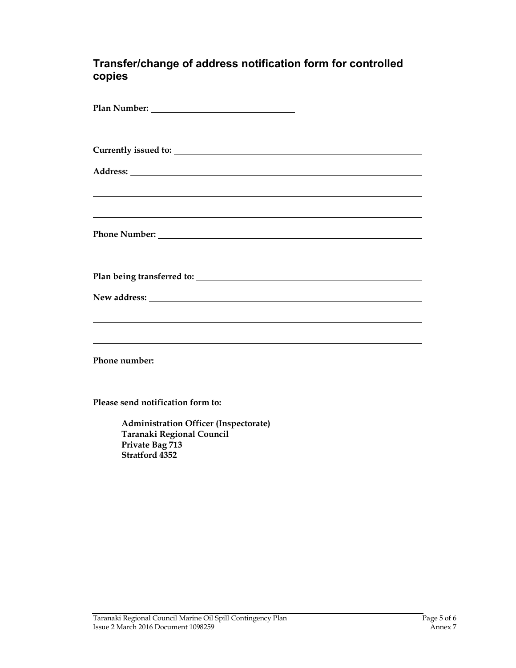#### Transfer/change of address notification form for controlled copies

| <u> 2000 - Andrea Andrewski, amerikansk politik (d. 1982)</u><br>,我们也不会有什么。""我们的人,我们也不会有什么?""我们的人,我们也不会有什么?""我们的人,我们也不会有什么?""我们的人,我们也不会有什么?""我们的人 |
|---------------------------------------------------------------------------------------------------------------------------------------------------|
|                                                                                                                                                   |
|                                                                                                                                                   |
|                                                                                                                                                   |
| ,我们也不会有什么。""我们的人,我们也不会有什么?""我们的人,我们也不会有什么?""我们的人,我们也不会有什么?""我们的人,我们也不会有什么?""我们的人                                                                  |
|                                                                                                                                                   |

Please send notification form to:

 Administration Officer (Inspectorate) Taranaki Regional Council Private Bag 713 Stratford 4352